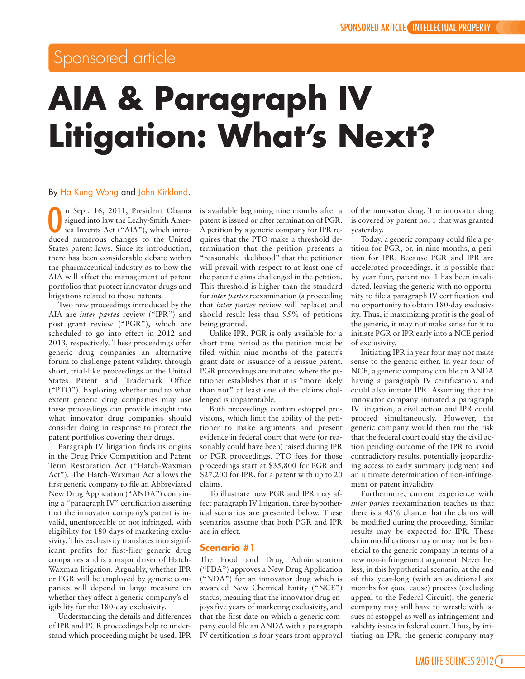# Sponsored article

# **AIA & Paragraph IV Litigation: What's Next?**

### By Ha Kung Wong and John Kirkland.

n Sept. 16, 2011, President Obama<br>
signed into law the Leahy-Smith Amer-<br>
ica Invents Act ("AIA"), which intro-<br>
duced numerous changes to the United n Sept. 16, 2011, President Obama signed into law the Leahy-Smith America Invents Act ("AIA"), which intro-States patent laws. Since its introduction, there has been considerable debate within the pharmaceutical industry as to how the AIA will affect the management of patent portfolios that protect innovator drugs and litigations related to those patents.

Two new proceedings introduced by the AIA are *inter partes* review ("IPR") and post grant review ("PGR"), which are scheduled to go into effect in 2012 and 2013, respectively. These proceedings offer generic drug companies an alternative forum to challenge patent validity, through short, trial-like proceedings at the United States Patent and Trademark Office ("PTO"). Exploring whether and to what extent generic drug companies may use these proceedings can provide insight into what innovator drug companies should consider doing in response to protect the patent portfolios covering their drugs.

Paragraph IV litigation finds its origins in the Drug Price Competition and Patent Term Restoration Act ("Hatch-Waxman Act"). The Hatch-Waxman Act allows the first generic company to file an Abbreviated New Drug Application ("ANDA") containing a "paragraph IV" certification asserting that the innovator company's patent is invalid, unenforceable or not infringed, with eligibility for 180 days of marketing exclusivity. This exclusivity translates into significant profits for first-filer generic drug companies and is a major driver of Hatch-Waxman litigation. Arguably, whether IPR or PGR will be employed by generic companies will depend in large measure on whether they affect a generic company's eligibility for the 180-day exclusivity.

Understanding the details and differences of IPR and PGR proceedings help to understand which proceeding might be used. IPR is available beginning nine months after a patent is issued or after termination of PGR. A petition by a generic company for IPR requires that the PTO make a threshold determination that the petition presents a "reasonable likelihood" that the petitioner will prevail with respect to at least one of the patent claims challenged in the petition. This threshold is higher than the standard for *inter partes* reexamination (a proceeding that *inter partes* review will replace) and should result less than 95% of petitions being granted.

Unlike IPR, PGR is only available for a short time period as the petition must be filed within nine months of the patent's grant date or issuance of a reissue patent. PGR proceedings are initiated where the petitioner establishes that it is "more likely than not" at least one of the claims challenged is unpatentable.

Both proceedings contain estoppel provisions, which limit the ability of the petitioner to make arguments and present evidence in federal court that were (or reasonably could have been) raised during IPR or PGR proceedings. PTO fees for those proceedings start at \$35,800 for PGR and \$27,200 for IPR, for a patent with up to 20 claims.

To illustrate how PGR and IPR may affect paragraph IV litigation, three hypothetical scenarios are presented below. These scenarios assume that both PGR and IPR are in effect.

# **Scenario #1**

The Food and Drug Administration ("FDA") approves a New Drug Application ("NDA") for an innovator drug which is awarded New Chemical Entity ("NCE") status, meaning that the innovator drug enjoys five years of marketing exclusivity, and that the first date on which a generic company could file an ANDA with a paragraph IV certification is four years from approval of the innovator drug. The innovator drug is covered by patent no. 1 that was granted yesterday.

Today, a generic company could file a petition for PGR, or, in nine months, a petition for IPR. Because PGR and IPR are accelerated proceedings, it is possible that by year four, patent no. 1 has been invalidated, leaving the generic with no opportunity to file a paragraph IV certification and no opportunity to obtain 180-day exclusivity. Thus, if maximizing profit is the goal of the generic, it may not make sense for it to initiate PGR or IPR early into a NCE period of exclusivity.

Initiating IPR in year four may not make sense to the generic either. In year four of NCE, a generic company can file an ANDA having a paragraph IV certification, and could also initiate IPR. Assuming that the innovator company initiated a paragraph IV litigation, a civil action and IPR could proceed simultaneously. However, the generic company would then run the risk that the federal court could stay the civil action pending outcome of the IPR to avoid contradictory results, potentially jeopardizing access to early summary judgment and an ultimate determination of non-infringement or patent invalidity.

Furthermore, current experience with *inter partes* reexamination teaches us that there is a 45% chance that the claims will be modified during the proceeding. Similar results may be expected for IPR. These claim modifications may or may not be beneficial to the generic company in terms of a new non-infringement argument. Nevertheless, in this hypothetical scenario, at the end of this year-long (with an additional six months for good cause) process (excluding appeal to the Federal Circuit), the generic company may still have to wrestle with issues of estoppel as well as infringement and validity issues in federal court. Thus, by initiating an IPR, the generic company may